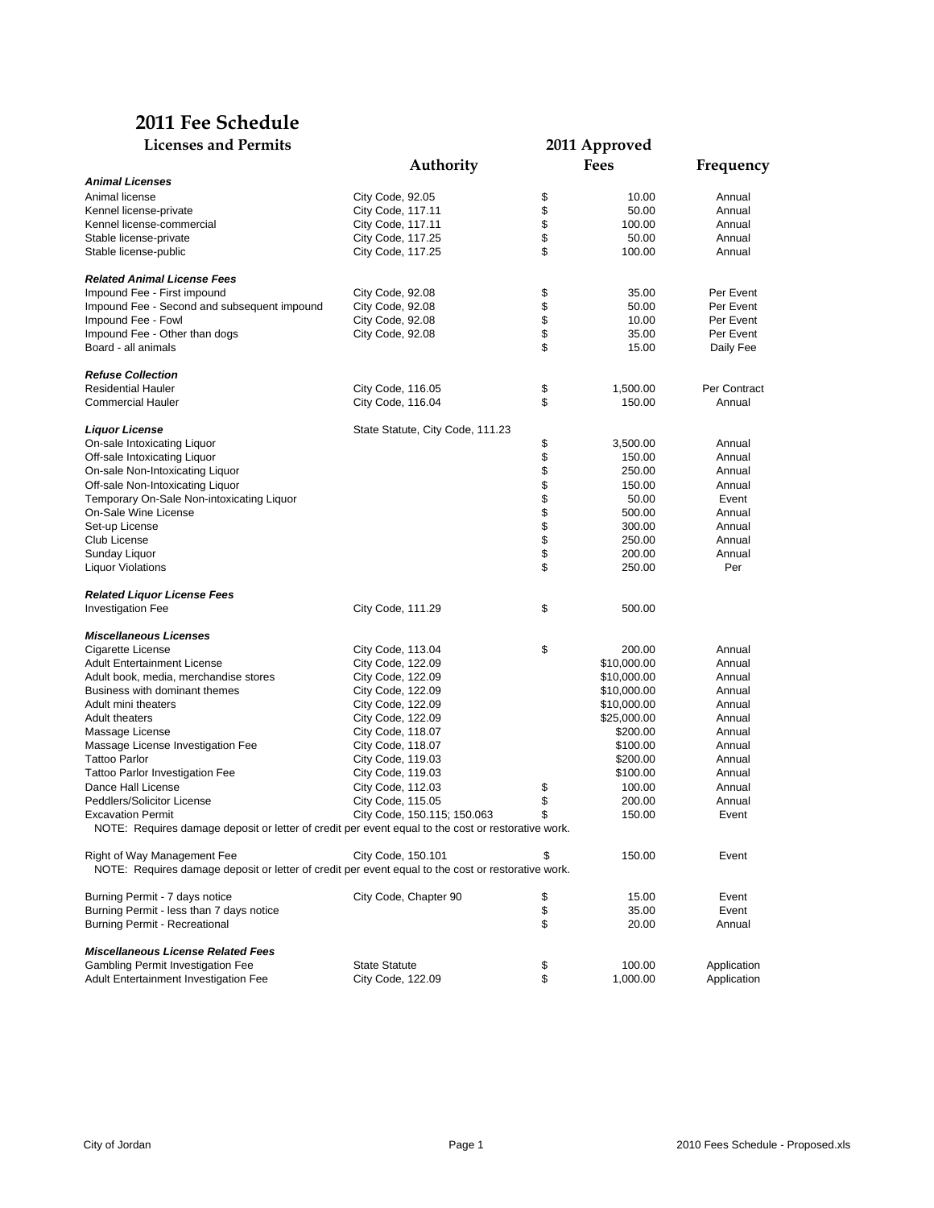## **2011 Fee Schedule**

| <b>Licenses and Permits</b>                                                                                                       | 2011 Approved                    |        |             |              |  |
|-----------------------------------------------------------------------------------------------------------------------------------|----------------------------------|--------|-------------|--------------|--|
|                                                                                                                                   | Authority                        |        | Fees        | Frequency    |  |
| <b>Animal Licenses</b>                                                                                                            |                                  |        |             |              |  |
| Animal license                                                                                                                    | City Code, 92.05                 | \$     | 10.00       | Annual       |  |
| Kennel license-private                                                                                                            | City Code, 117.11                | \$     | 50.00       | Annual       |  |
| Kennel license-commercial                                                                                                         | City Code, 117.11                | \$     | 100.00      | Annual       |  |
| Stable license-private                                                                                                            | City Code, 117.25                | \$     | 50.00       | Annual       |  |
| Stable license-public                                                                                                             | City Code, 117.25                | \$     | 100.00      | Annual       |  |
| <b>Related Animal License Fees</b>                                                                                                |                                  |        |             |              |  |
| Impound Fee - First impound                                                                                                       | City Code, 92.08                 | \$     | 35.00       | Per Event    |  |
| Impound Fee - Second and subsequent impound                                                                                       | City Code, 92.08                 | \$     | 50.00       | Per Event    |  |
| Impound Fee - Fowl                                                                                                                | City Code, 92.08                 | \$     | 10.00       | Per Event    |  |
| Impound Fee - Other than dogs                                                                                                     | City Code, 92.08                 | \$     | 35.00       | Per Event    |  |
| Board - all animals                                                                                                               |                                  | \$     | 15.00       | Daily Fee    |  |
| <b>Refuse Collection</b>                                                                                                          |                                  |        |             |              |  |
| <b>Residential Hauler</b>                                                                                                         | City Code, 116.05                | \$     | 1,500.00    | Per Contract |  |
| <b>Commercial Hauler</b>                                                                                                          | City Code, 116.04                | \$     | 150.00      | Annual       |  |
| Liquor License                                                                                                                    | State Statute, City Code, 111.23 |        |             |              |  |
| On-sale Intoxicating Liquor                                                                                                       |                                  | \$     | 3,500.00    | Annual       |  |
| Off-sale Intoxicating Liquor                                                                                                      |                                  | \$     | 150.00      | Annual       |  |
| On-sale Non-Intoxicating Liquor                                                                                                   |                                  | \$     | 250.00      | Annual       |  |
| Off-sale Non-Intoxicating Liquor                                                                                                  |                                  | \$     | 150.00      | Annual       |  |
| Temporary On-Sale Non-intoxicating Liquor                                                                                         |                                  | \$\$\$ | 50.00       | Event        |  |
| On-Sale Wine License                                                                                                              |                                  |        | 500.00      | Annual       |  |
| Set-up License                                                                                                                    |                                  |        | 300.00      | Annual       |  |
| Club License                                                                                                                      |                                  |        | 250.00      | Annual       |  |
| Sunday Liquor                                                                                                                     |                                  | \$     | 200.00      | Annual       |  |
| <b>Liquor Violations</b>                                                                                                          |                                  | \$     | 250.00      | Per          |  |
| <b>Related Liquor License Fees</b>                                                                                                |                                  |        |             |              |  |
| <b>Investigation Fee</b>                                                                                                          | City Code, 111.29                | \$     | 500.00      |              |  |
| <b>Miscellaneous Licenses</b>                                                                                                     |                                  |        |             |              |  |
| Cigarette License                                                                                                                 | City Code, 113.04                | \$     | 200.00      | Annual       |  |
| <b>Adult Entertainment License</b>                                                                                                | City Code, 122.09                |        | \$10,000.00 | Annual       |  |
| Adult book, media, merchandise stores                                                                                             | City Code, 122.09                |        | \$10,000.00 | Annual       |  |
| Business with dominant themes                                                                                                     | City Code, 122.09                |        | \$10,000.00 | Annual       |  |
| Adult mini theaters                                                                                                               | City Code, 122.09                |        | \$10,000.00 | Annual       |  |
| <b>Adult theaters</b>                                                                                                             | City Code, 122.09                |        | \$25,000.00 | Annual       |  |
| Massage License                                                                                                                   | City Code, 118.07                |        | \$200.00    | Annual       |  |
| Massage License Investigation Fee                                                                                                 | City Code, 118.07                |        | \$100.00    | Annual       |  |
| <b>Tattoo Parlor</b>                                                                                                              | City Code, 119.03                |        | \$200.00    | Annual       |  |
| <b>Tattoo Parlor Investigation Fee</b>                                                                                            | City Code, 119.03                |        | \$100.00    | Annual       |  |
| Dance Hall License                                                                                                                | City Code, 112.03                | \$     | 100.00      | Annual       |  |
| Peddlers/Solicitor License                                                                                                        | City Code, 115.05                | \$     | 200.00      | Annual       |  |
| <b>Excavation Permit</b>                                                                                                          | City Code, 150.115, 150.063      | \$     | 150.00      | Event        |  |
| NOTE: Requires damage deposit or letter of credit per event equal to the cost or restorative work.                                |                                  |        |             |              |  |
| Right of Way Management Fee<br>NOTE: Requires damage deposit or letter of credit per event equal to the cost or restorative work. | City Code, 150.101               | \$     | 150.00      | Event        |  |
| Burning Permit - 7 days notice                                                                                                    | City Code, Chapter 90            | \$     | 15.00       | Event        |  |
| Burning Permit - less than 7 days notice                                                                                          |                                  | \$     | 35.00       | Event        |  |
| <b>Burning Permit - Recreational</b>                                                                                              |                                  | \$     | 20.00       | Annual       |  |
| <b>Miscellaneous License Related Fees</b>                                                                                         |                                  |        |             |              |  |
| Gambling Permit Investigation Fee                                                                                                 | <b>State Statute</b>             | \$     | 100.00      | Application  |  |
| Adult Entertainment Investigation Fee                                                                                             | City Code, 122.09                | \$     | 1,000.00    | Application  |  |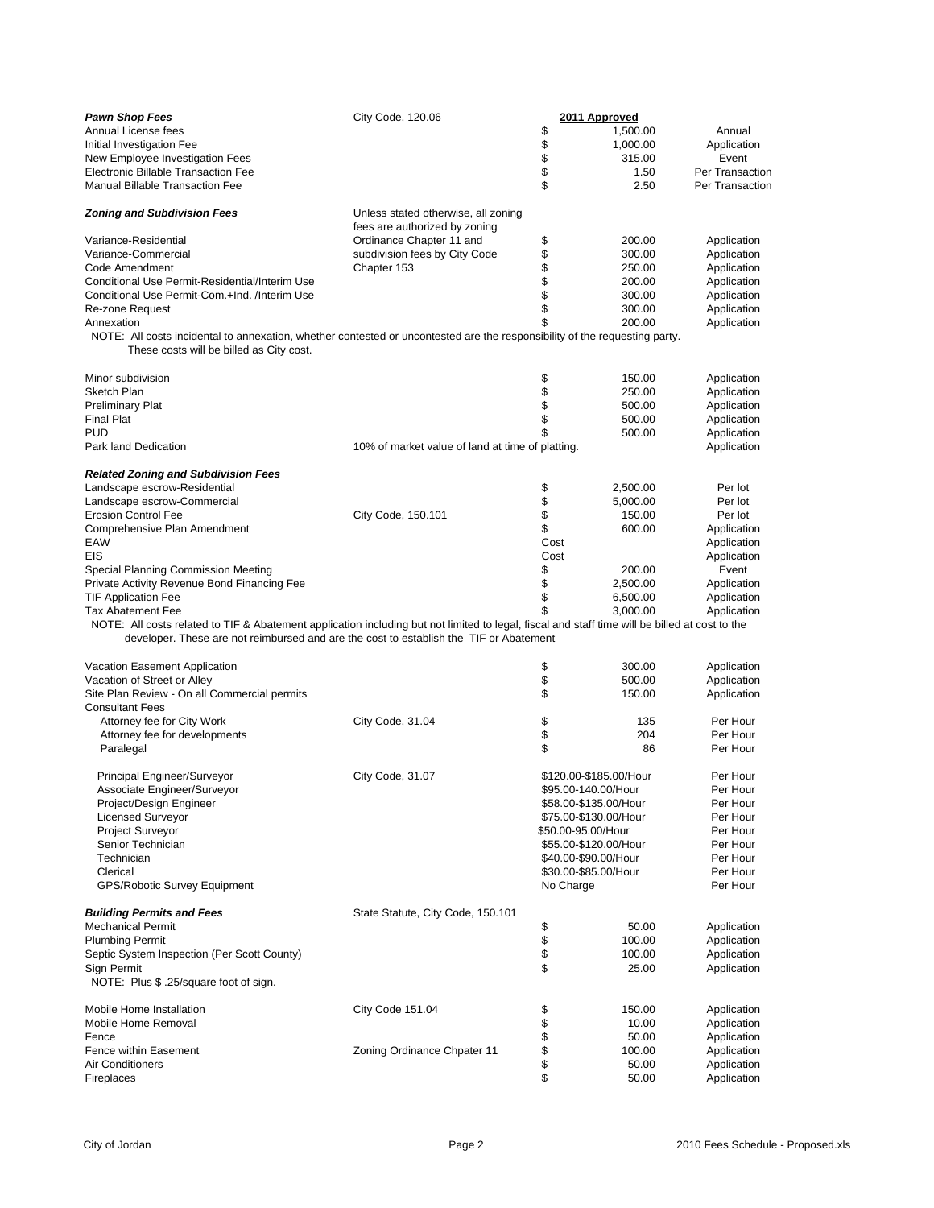| <b>Pawn Shop Fees</b>                                                                                                                                                                                                                    | City Code, 120.06                                                    | 2011 Approved                      |                       |                 |  |
|------------------------------------------------------------------------------------------------------------------------------------------------------------------------------------------------------------------------------------------|----------------------------------------------------------------------|------------------------------------|-----------------------|-----------------|--|
| Annual License fees                                                                                                                                                                                                                      |                                                                      | \$                                 | 1,500.00              | Annual          |  |
| Initial Investigation Fee                                                                                                                                                                                                                |                                                                      |                                    | 1,000.00              | Application     |  |
| New Employee Investigation Fees                                                                                                                                                                                                          |                                                                      |                                    | 315.00                | Event           |  |
| Electronic Billable Transaction Fee                                                                                                                                                                                                      |                                                                      | \$\$                               | 1.50                  | Per Transaction |  |
| <b>Manual Billable Transaction Fee</b>                                                                                                                                                                                                   |                                                                      | \$                                 | 2.50                  | Per Transaction |  |
| <b>Zoning and Subdivision Fees</b>                                                                                                                                                                                                       | Unless stated otherwise, all zoning<br>fees are authorized by zoning |                                    |                       |                 |  |
| Variance-Residential                                                                                                                                                                                                                     | Ordinance Chapter 11 and                                             | \$                                 | 200.00                | Application     |  |
| Variance-Commercial                                                                                                                                                                                                                      | subdivision fees by City Code                                        |                                    | 300.00                | Application     |  |
| Code Amendment                                                                                                                                                                                                                           | Chapter 153                                                          |                                    | 250.00                | Application     |  |
| Conditional Use Permit-Residential/Interim Use                                                                                                                                                                                           |                                                                      | \$\$\$                             | 200.00                | Application     |  |
| Conditional Use Permit-Com.+Ind. /Interim Use                                                                                                                                                                                            |                                                                      |                                    | 300.00                | Application     |  |
| Re-zone Request                                                                                                                                                                                                                          |                                                                      | \$                                 | 300.00                | Application     |  |
| Annexation                                                                                                                                                                                                                               |                                                                      | \$                                 | 200.00                | Application     |  |
| NOTE: All costs incidental to annexation, whether contested or uncontested are the responsibility of the requesting party.<br>These costs will be billed as City cost.                                                                   |                                                                      |                                    |                       |                 |  |
| Minor subdivision                                                                                                                                                                                                                        |                                                                      | \$                                 | 150.00                | Application     |  |
| Sketch Plan                                                                                                                                                                                                                              |                                                                      |                                    | 250.00                | Application     |  |
| <b>Preliminary Plat</b>                                                                                                                                                                                                                  |                                                                      | \$\$                               | 500.00                | Application     |  |
| <b>Final Plat</b>                                                                                                                                                                                                                        |                                                                      |                                    | 500.00                | Application     |  |
| <b>PUD</b>                                                                                                                                                                                                                               |                                                                      | \$                                 | 500.00                | Application     |  |
| Park land Dedication                                                                                                                                                                                                                     | 10% of market value of land at time of platting.                     |                                    |                       | Application     |  |
| <b>Related Zoning and Subdivision Fees</b>                                                                                                                                                                                               |                                                                      |                                    |                       |                 |  |
| Landscape escrow-Residential                                                                                                                                                                                                             |                                                                      |                                    | 2.500.00              | Per lot         |  |
| Landscape escrow-Commercial                                                                                                                                                                                                              |                                                                      | \$<br>\$                           | 5,000.00              | Per lot         |  |
| <b>Erosion Control Fee</b>                                                                                                                                                                                                               | City Code, 150.101                                                   | \$                                 | 150.00                | Per lot         |  |
| Comprehensive Plan Amendment                                                                                                                                                                                                             |                                                                      | \$                                 | 600.00                | Application     |  |
| EAW                                                                                                                                                                                                                                      |                                                                      | Cost                               |                       | Application     |  |
| EIS                                                                                                                                                                                                                                      |                                                                      | Cost                               |                       | Application     |  |
| Special Planning Commission Meeting                                                                                                                                                                                                      |                                                                      | \$                                 | 200.00                | Event           |  |
| Private Activity Revenue Bond Financing Fee                                                                                                                                                                                              |                                                                      | \$                                 | 2,500.00              | Application     |  |
| <b>TIF Application Fee</b>                                                                                                                                                                                                               |                                                                      | \$                                 | 6,500.00              | Application     |  |
| <b>Tax Abatement Fee</b>                                                                                                                                                                                                                 |                                                                      | \$                                 | 3,000.00              | Application     |  |
| NOTE: All costs related to TIF & Abatement application including but not limited to legal, fiscal and staff time will be billed at cost to the<br>developer. These are not reimbursed and are the cost to establish the TIF or Abatement |                                                                      |                                    |                       |                 |  |
| Vacation Easement Application                                                                                                                                                                                                            |                                                                      | \$                                 | 300.00                | Application     |  |
| Vacation of Street or Alley                                                                                                                                                                                                              |                                                                      | \$                                 | 500.00                | Application     |  |
| Site Plan Review - On all Commercial permits                                                                                                                                                                                             |                                                                      | \$                                 | 150.00                | Application     |  |
| <b>Consultant Fees</b>                                                                                                                                                                                                                   |                                                                      |                                    |                       |                 |  |
| Attorney fee for City Work                                                                                                                                                                                                               | City Code, 31.04                                                     | \$                                 | 135                   | Per Hour        |  |
| Attorney fee for developments                                                                                                                                                                                                            |                                                                      | \$                                 | 204                   | Per Hour        |  |
| Paralegal                                                                                                                                                                                                                                |                                                                      | \$                                 | 86                    | Per Hour        |  |
| Principal Engineer/Surveyor                                                                                                                                                                                                              | City Code, 31.07                                                     | \$120.00-\$185.00/Hour<br>Per Hour |                       |                 |  |
| Associate Engineer/Surveyor                                                                                                                                                                                                              |                                                                      |                                    | \$95.00-140.00/Hour   | Per Hour        |  |
| Project/Design Engineer                                                                                                                                                                                                                  |                                                                      |                                    | \$58.00-\$135.00/Hour | Per Hour        |  |
| <b>Licensed Surveyor</b>                                                                                                                                                                                                                 |                                                                      |                                    | \$75.00-\$130.00/Hour | Per Hour        |  |
| Project Surveyor                                                                                                                                                                                                                         |                                                                      |                                    | \$50.00-95.00/Hour    | Per Hour        |  |
| Senior Technician                                                                                                                                                                                                                        |                                                                      |                                    | \$55.00-\$120.00/Hour | Per Hour        |  |
| Technician                                                                                                                                                                                                                               |                                                                      |                                    | \$40.00-\$90.00/Hour  | Per Hour        |  |
| Clerical                                                                                                                                                                                                                                 |                                                                      |                                    | \$30.00-\$85.00/Hour  | Per Hour        |  |
| <b>GPS/Robotic Survey Equipment</b>                                                                                                                                                                                                      |                                                                      | No Charge                          |                       | Per Hour        |  |
| <b>Building Permits and Fees</b>                                                                                                                                                                                                         | State Statute, City Code, 150.101                                    |                                    |                       |                 |  |
| <b>Mechanical Permit</b>                                                                                                                                                                                                                 |                                                                      |                                    | 50.00                 | Application     |  |
| <b>Plumbing Permit</b>                                                                                                                                                                                                                   |                                                                      | \$<br>\$                           | 100.00                | Application     |  |
| Septic System Inspection (Per Scott County)                                                                                                                                                                                              |                                                                      |                                    | 100.00                | Application     |  |
| Sign Permit<br>NOTE: Plus \$ .25/square foot of sign.                                                                                                                                                                                    |                                                                      | \$                                 | 25.00                 | Application     |  |
|                                                                                                                                                                                                                                          |                                                                      |                                    |                       |                 |  |
| Mobile Home Installation                                                                                                                                                                                                                 | City Code 151.04                                                     |                                    | 150.00                | Application     |  |
| Mobile Home Removal                                                                                                                                                                                                                      |                                                                      |                                    | 10.00                 | Application     |  |
| Fence                                                                                                                                                                                                                                    |                                                                      | \$\$\$\$\$                         | 50.00                 | Application     |  |
| Fence within Easement                                                                                                                                                                                                                    | Zoning Ordinance Chpater 11                                          |                                    | 100.00                | Application     |  |
| Air Conditioners                                                                                                                                                                                                                         |                                                                      |                                    | 50.00                 | Application     |  |
| Fireplaces                                                                                                                                                                                                                               |                                                                      | \$                                 | 50.00                 | Application     |  |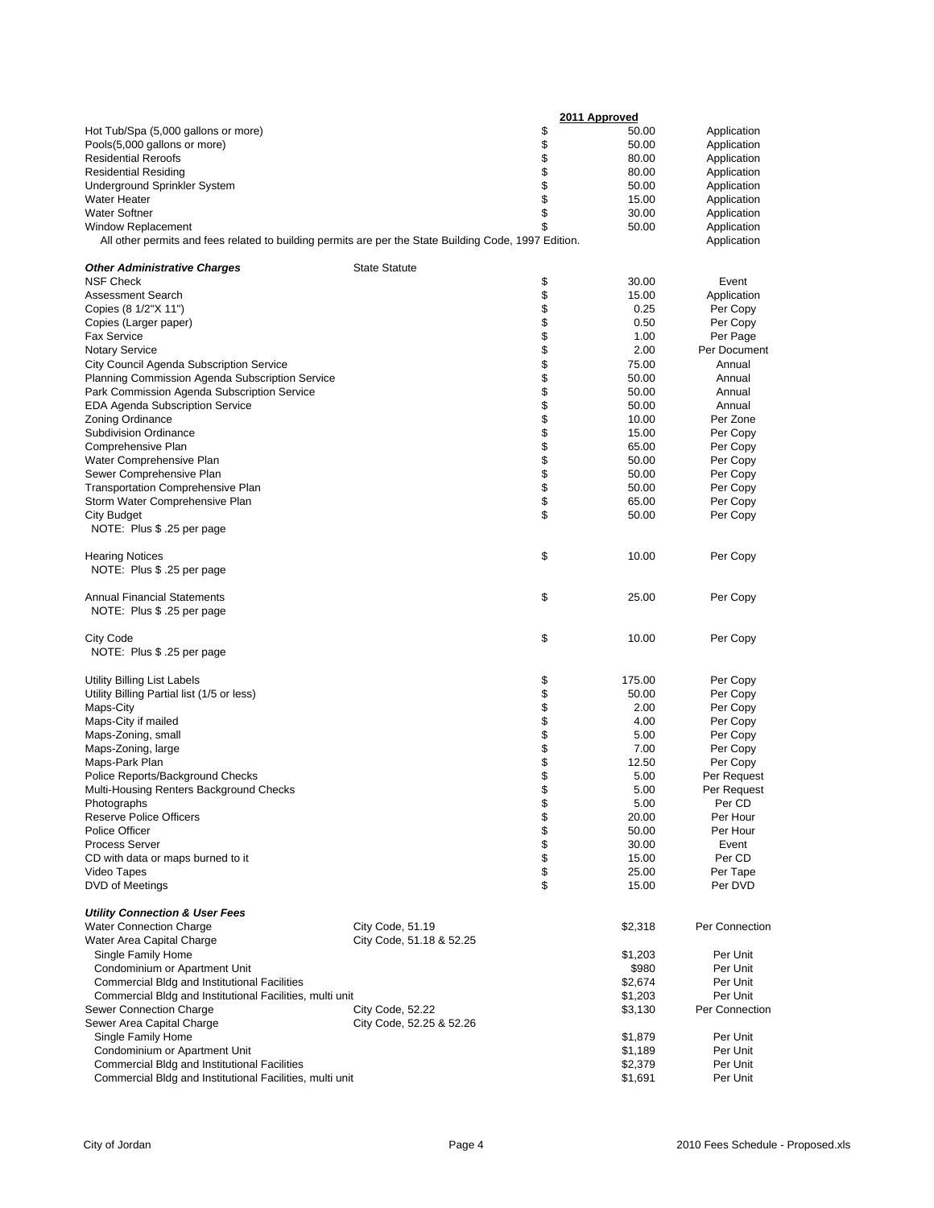|                                                                                                       | 2011 Approved            |                                    |         |                |
|-------------------------------------------------------------------------------------------------------|--------------------------|------------------------------------|---------|----------------|
| Hot Tub/Spa (5,000 gallons or more)                                                                   |                          | \$                                 | 50.00   | Application    |
| Pools(5,000 gallons or more)                                                                          |                          |                                    | 50.00   | Application    |
| <b>Residential Reroofs</b>                                                                            |                          | \$                                 | 80.00   | Application    |
| <b>Residential Residing</b>                                                                           |                          |                                    | 80.00   | Application    |
| Underground Sprinkler System                                                                          |                          | \$                                 | 50.00   | Application    |
| <b>Water Heater</b>                                                                                   |                          | \$                                 | 15.00   | Application    |
| <b>Water Softner</b>                                                                                  |                          | \$                                 | 30.00   | Application    |
| <b>Window Replacement</b>                                                                             |                          | \$                                 | 50.00   | Application    |
| All other permits and fees related to building permits are per the State Building Code, 1997 Edition. |                          |                                    |         | Application    |
| <b>Other Administrative Charges</b>                                                                   | <b>State Statute</b>     |                                    |         |                |
| <b>NSF Check</b>                                                                                      |                          | \$                                 | 30.00   | Event          |
| <b>Assessment Search</b>                                                                              |                          | \$                                 | 15.00   | Application    |
| Copies (8 1/2"X 11")                                                                                  |                          |                                    | 0.25    | Per Copy       |
| Copies (Larger paper)                                                                                 |                          |                                    | 0.50    | Per Copy       |
| <b>Fax Service</b>                                                                                    |                          |                                    | 1.00    | Per Page       |
| <b>Notary Service</b>                                                                                 |                          |                                    | 2.00    | Per Document   |
| City Council Agenda Subscription Service                                                              |                          |                                    | 75.00   | Annual         |
| Planning Commission Agenda Subscription Service                                                       |                          |                                    | 50.00   | Annual         |
| Park Commission Agenda Subscription Service                                                           |                          |                                    | 50.00   | Annual         |
| <b>EDA Agenda Subscription Service</b>                                                                |                          |                                    | 50.00   | Annual         |
| Zoning Ordinance                                                                                      |                          |                                    | 10.00   | Per Zone       |
| <b>Subdivision Ordinance</b>                                                                          |                          |                                    | 15.00   | Per Copy       |
| Comprehensive Plan                                                                                    |                          |                                    | 65.00   | Per Copy       |
| Water Comprehensive Plan                                                                              |                          | <b>a a a a a a a a a a a a a a</b> | 50.00   | Per Copy       |
| Sewer Comprehensive Plan                                                                              |                          |                                    | 50.00   | Per Copy       |
| <b>Transportation Comprehensive Plan</b>                                                              |                          |                                    | 50.00   | Per Copy       |
| Storm Water Comprehensive Plan                                                                        |                          | \$                                 | 65.00   | Per Copy       |
| <b>City Budget</b>                                                                                    |                          | \$                                 | 50.00   | Per Copy       |
| NOTE: Plus \$ .25 per page                                                                            |                          |                                    |         |                |
|                                                                                                       |                          |                                    |         |                |
| <b>Hearing Notices</b>                                                                                |                          | \$                                 | 10.00   | Per Copy       |
| NOTE: Plus \$ .25 per page                                                                            |                          |                                    |         |                |
| <b>Annual Financial Statements</b>                                                                    |                          | \$                                 | 25.00   | Per Copy       |
| NOTE: Plus \$ .25 per page                                                                            |                          |                                    |         |                |
| <b>City Code</b>                                                                                      |                          | \$                                 | 10.00   | Per Copy       |
| NOTE: Plus \$ .25 per page                                                                            |                          |                                    |         |                |
|                                                                                                       |                          |                                    |         |                |
| Utility Billing List Labels                                                                           |                          | \$                                 | 175.00  | Per Copy       |
| Utility Billing Partial list (1/5 or less)                                                            |                          |                                    | 50.00   | Per Copy       |
| Maps-City                                                                                             |                          |                                    | 2.00    | Per Copy       |
| Maps-City if mailed                                                                                   |                          |                                    | 4.00    | Per Copy       |
| Maps-Zoning, small                                                                                    |                          | <b>888888</b>                      | 5.00    | Per Copy       |
| Maps-Zoning, large                                                                                    |                          |                                    | 7.00    | Per Copy       |
| Maps-Park Plan                                                                                        |                          |                                    | 12.50   | Per Copy       |
| Police Reports/Background Checks                                                                      |                          |                                    | 5.00    | Per Request    |
| Multi-Housing Renters Background Checks                                                               |                          | \$                                 | 5.00    | Per Request    |
| Photographs                                                                                           |                          | \$                                 | 5.00    | Per CD         |
| <b>Reserve Police Officers</b>                                                                        |                          | \$                                 | 20.00   | Per Hour       |
| <b>Police Officer</b>                                                                                 |                          |                                    | 50.00   | Per Hour       |
| <b>Process Server</b>                                                                                 |                          |                                    | 30.00   | Event          |
| CD with data or maps burned to it                                                                     |                          | \$\$\$                             | 15.00   | Per CD         |
| Video Tapes                                                                                           |                          |                                    | 25.00   | Per Tape       |
| DVD of Meetings                                                                                       |                          | \$                                 | 15.00   | Per DVD        |
| <b>Utility Connection &amp; User Fees</b>                                                             |                          |                                    |         |                |
| <b>Water Connection Charge</b>                                                                        | City Code, 51.19         |                                    | \$2,318 | Per Connection |
| Water Area Capital Charge                                                                             | City Code, 51.18 & 52.25 |                                    |         |                |
| Single Family Home                                                                                    |                          |                                    | \$1,203 | Per Unit       |
| Condominium or Apartment Unit                                                                         |                          |                                    | \$980   | Per Unit       |
| Commercial Bldg and Institutional Facilities                                                          |                          |                                    | \$2,674 | Per Unit       |
| Commercial Bldg and Institutional Facilities, multi unit                                              |                          |                                    | \$1,203 | Per Unit       |
| Sewer Connection Charge                                                                               | City Code, 52.22         |                                    | \$3,130 | Per Connection |
| Sewer Area Capital Charge                                                                             | City Code, 52.25 & 52.26 |                                    |         |                |
| Single Family Home                                                                                    |                          |                                    | \$1,879 | Per Unit       |
| Condominium or Apartment Unit                                                                         |                          |                                    | \$1,189 | Per Unit       |
| Commercial Bldg and Institutional Facilities                                                          |                          |                                    | \$2,379 | Per Unit       |
| Commercial Bldg and Institutional Facilities, multi unit                                              |                          |                                    | \$1,691 | Per Unit       |